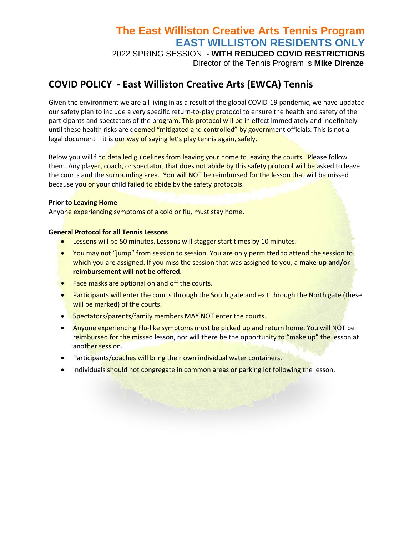## **The East Williston Creative Arts Tennis Program EAST WILLISTON RESIDENTS ONLY**

2022 SPRING SESSION - **WITH REDUCED COVID RESTRICTIONS** Director of the Tennis Program is **Mike Direnze**

## **COVID POLICY - East Williston Creative Arts (EWCA) Tennis**

Given the environment we are all living in as a result of the global COVID-19 pandemic, we have updated our safety plan to include a very specific return-to-play protocol to ensure the health and safety of the participants and spectators of the program. This protocol will be in effect immediately and indefinitely until these health risks are deemed "mitigated and controlled" by government officials. This is not a legal document – it is our way of saying let's play tennis again, safely.

Below you will find detailed guidelines from leaving your home to leaving the courts. Please follow them. Any player, coach, or spectator, that does not abide by this safety protocol will be asked to leave the courts and the surrounding area. You will NOT be reimbursed for the lesson that will be missed because you or your child failed to abide by the safety protocols.

## **Prior to Leaving Home**

Anyone experiencing symptoms of a cold or flu, must stay home.

## **General Protocol for all Tennis Lessons**

- Lessons will be 50 minutes. Lessons will stagger start times by 10 minutes.
- You may not "jump" from session to session. You are only permitted to attend the session to which you are assigned. If you miss the session that was assigned to you, a **make-up and/or reimbursement will not be offered**.
- Face masks are optional on and off the courts.
- Participants will enter the courts through the South gate and exit through the North gate (these will be marked) of the courts.
- Spectators/parents/family members MAY NOT enter the courts.
- Anyone experiencing Flu-like symptoms must be picked up and return home. You will NOT be reimbursed for the missed lesson, nor will there be the opportunity to "make up" the lesson at another session.
- Participants/coaches will bring their own individual water containers.
- Individuals should not congregate in common areas or parking lot following the lesson.